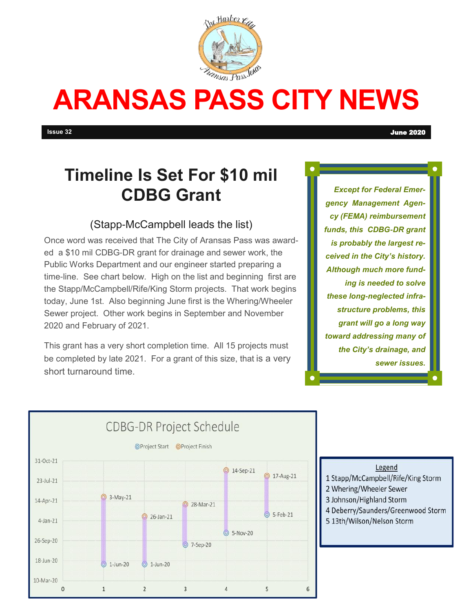

# **ARANSAS PASS CITY NEWS**

# **Timeline Is Set For \$10 mil CDBG Grant**

#### (Stapp-McCampbell leads the list)

Once word was received that The City of Aransas Pass was awarded a \$10 mil CDBG-DR grant for drainage and sewer work, the Public Works Department and our engineer started preparing a time-line. See chart below. High on the list and beginning first are the Stapp/McCampbell/Rife/King Storm projects. That work begins today, June 1st. Also beginning June first is the Whering/Wheeler Sewer project. Other work begins in September and November 2020 and February of 2021.

This grant has a very short completion time. All 15 projects must be completed by late 2021. For a grant of this size, that is a very short turnaround time.

*Except for Federal Emergency Management Agency (FEMA) reimbursement funds, this CDBG-DR grant is probably the largest received in the City's history. Although much more funding is needed to solve these long-neglected infrastructure problems, this grant will go a long way toward addressing many of the City's drainage, and sewer issues.* 



- Legend
- 1 Stapp/McCampbell/Rife/King Storm
- 2 Whering/Wheeler Sewer
- 3 Johnson/Highland Storm
- 4 Deberry/Saunders/Greenwood Storm
- 5 13th/Wilson/Nelson Storm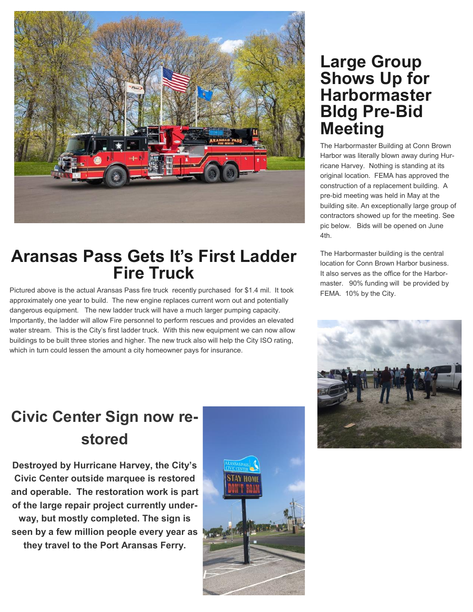

### **Aransas Pass Gets It's First Ladder Fire Truck**

Pictured above is the actual Aransas Pass fire truck recently purchased for \$1.4 mil. It took approximately one year to build. The new engine replaces current worn out and potentially dangerous equipment. The new ladder truck will have a much larger pumping capacity. Importantly, the ladder will allow Fire personnel to perform rescues and provides an elevated water stream. This is the City's first ladder truck. With this new equipment we can now allow buildings to be built three stories and higher. The new truck also will help the City ISO rating, which in turn could lessen the amount a city homeowner pays for insurance.

### **Large Group Shows Up for Harbormaster Bldg Pre-Bid Meeting**

The Harbormaster Building at Conn Brown Harbor was literally blown away during Hurricane Harvey. Nothing is standing at its original location. FEMA has approved the construction of a replacement building. A pre-bid meeting was held in May at the building site. An exceptionally large group of contractors showed up for the meeting. See pic below. Bids will be opened on June 4th.

The Harbormaster building is the central location for Conn Brown Harbor business. It also serves as the office for the Harbormaster. 90% funding will be provided by FEMA. 10% by the City.



# **Civic Center Sign now restored**

**Destroyed by Hurricane Harvey, the City's Civic Center outside marquee is restored and operable. The restoration work is part of the large repair project currently underway, but mostly completed. The sign is seen by a few million people every year as they travel to the Port Aransas Ferry.** 

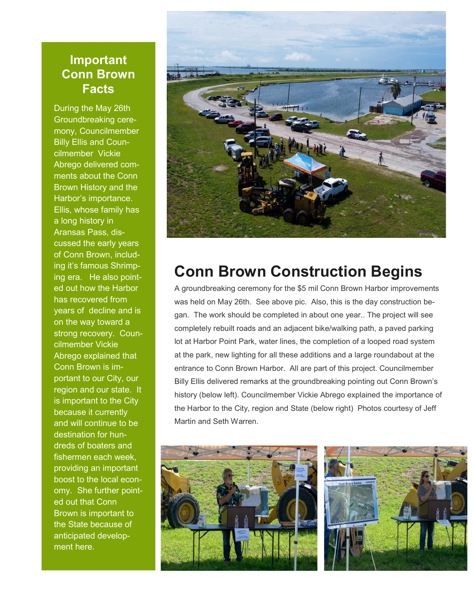#### **Important Conn Brown Facts**

During the May 26th Groundbreaking ceremony, Councilmember Billy Ellis and Councilmember Vickie Abrego delivered comments about the Conn Brown History and the Harbor's importance. Ellis, whose family has a long history in Aransas Pass, discussed the early years of Conn Brown, including it's famous Shrimping era. He also pointed out how the Harbor has recovered from years of decline and is on the way toward a strong recovery. Councilmember Vickie Abrego explained that Conn Brown is important to our City, our region and our state. It is important to the City because it currently and will continue to be destination for hundreds of boaters and fishermen each week, providing an important boost to the local economy. She further pointed out that Conn Brown is important to the State because of anticipated development here.



### **Conn Brown Construction Begins**

A groundbreaking ceremony for the \$5 mil Conn Brown Harbor improvements was held on May 26th. See above pic. Also, this is the day construction began. The work should be completed in about one year.. The project will see completely rebuilt roads and an adjacent bike/walking path, a paved parking lot at Harbor Point Park, water lines, the completion of a looped road system at the park, new lighting for all these additions and a large roundabout at the entrance to Conn Brown Harbor. All are part of this project. Councilmember Billy Ellis delivered remarks at the groundbreaking pointing out Conn Brown's history (below left). Councilmember Vickie Abrego explained the importance of the Harbor to the City, region and State (below right) Photos courtesy of Jeff Martin and Seth Warren.